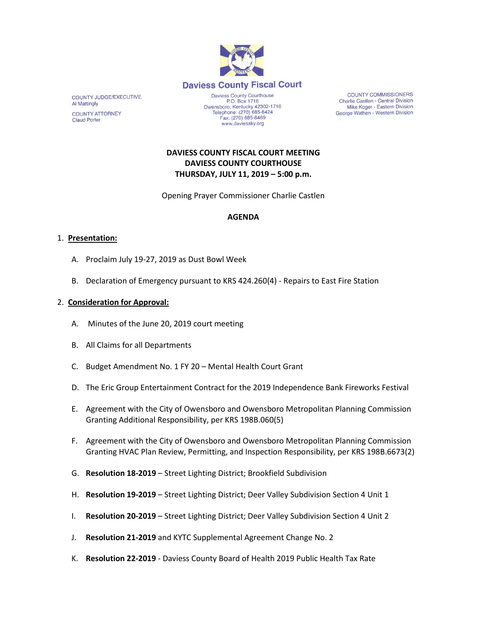

www.daviessky.org

**COUNTY COMMISSIONERS** Charlie Castlen - Central Division Mike Koger - Eastern Division George Wathen - Western Division

# **DAVIESS COUNTY FISCAL COURT MEETING DAVIESS COUNTY COURTHOUSE THURSDAY, JULY 11, 2019 – 5:00 p.m.**

Opening Prayer Commissioner Charlie Castlen

### **AGENDA**

#### 1. **Presentation:**

COUNTY JUDGE/EXECUTIVE

**COUNTY ATTORNEY** 

**Al Mattingly** 

**Claud Porter** 

- A. Proclaim July 19-27, 2019 as Dust Bowl Week
- B. Declaration of Emergency pursuant to KRS 424.260(4) Repairs to East Fire Station

#### 2. **Consideration for Approval:**

- A. Minutes of the June 20, 2019 court meeting
- B. All Claims for all Departments
- C. Budget Amendment No. 1 FY 20 Mental Health Court Grant
- D. The Eric Group Entertainment Contract for the 2019 Independence Bank Fireworks Festival
- E. Agreement with the City of Owensboro and Owensboro Metropolitan Planning Commission Granting Additional Responsibility, per KRS 198B.060(5)
- F. Agreement with the City of Owensboro and Owensboro Metropolitan Planning Commission Granting HVAC Plan Review, Permitting, and Inspection Responsibility, per KRS 198B.6673(2)
- G. **Resolution 18-2019** Street Lighting District; Brookfield Subdivision
- H. **Resolution 19-2019** Street Lighting District; Deer Valley Subdivision Section 4 Unit 1
- I. **Resolution 20-2019** Street Lighting District; Deer Valley Subdivision Section 4 Unit 2
- J. **Resolution 21-2019** and KYTC Supplemental Agreement Change No. 2
- K. **Resolution 22-2019** Daviess County Board of Health 2019 Public Health Tax Rate